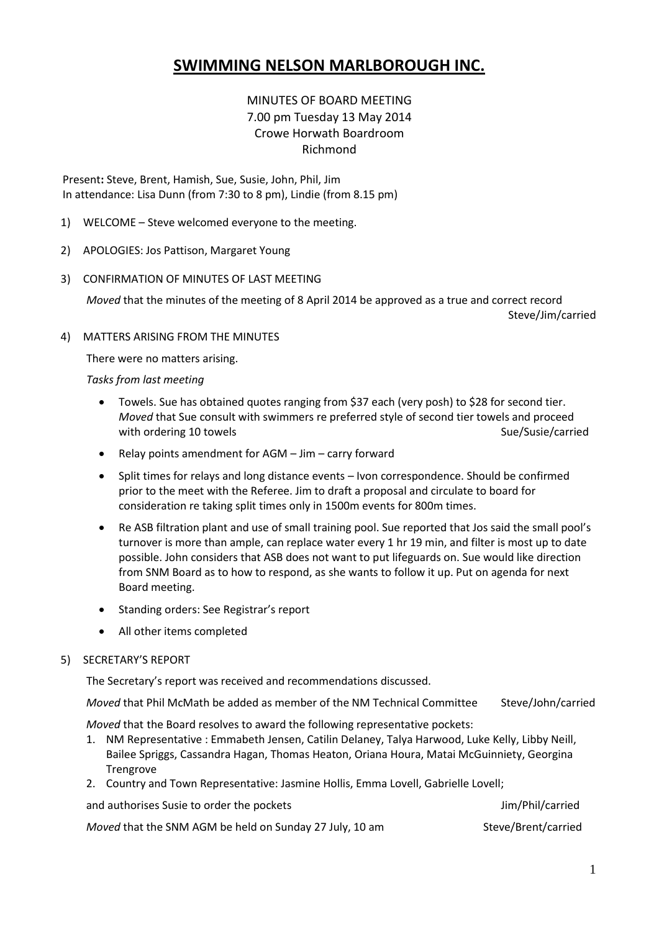# **SWIMMING NELSON MARLBOROUGH INC.**

## MINUTES OF BOARD MEETING 7.00 pm Tuesday 13 May 2014 Crowe Horwath Boardroom Richmond

Present**:** Steve, Brent, Hamish, Sue, Susie, John, Phil, Jim In attendance: Lisa Dunn (from 7:30 to 8 pm), Lindie (from 8.15 pm)

- 1) WELCOME Steve welcomed everyone to the meeting.
- 2) APOLOGIES: Jos Pattison, Margaret Young
- 3) CONFIRMATION OF MINUTES OF LAST MEETING

*Moved* that the minutes of the meeting of 8 April 2014 be approved as a true and correct record Steve/Jim/carried

4) MATTERS ARISING FROM THE MINUTES

There were no matters arising.

*Tasks from last meeting*

- Towels. Sue has obtained quotes ranging from \$37 each (very posh) to \$28 for second tier. *Moved* that Sue consult with swimmers re preferred style of second tier towels and proceed with ordering 10 towels Sue/Susie/carried Sue/Susie/carried
- Relay points amendment for AGM Jim carry forward
- Split times for relays and long distance events Ivon correspondence. Should be confirmed prior to the meet with the Referee. Jim to draft a proposal and circulate to board for consideration re taking split times only in 1500m events for 800m times.
- Re ASB filtration plant and use of small training pool. Sue reported that Jos said the small pool's turnover is more than ample, can replace water every 1 hr 19 min, and filter is most up to date possible. John considers that ASB does not want to put lifeguards on. Sue would like direction from SNM Board as to how to respond, as she wants to follow it up. Put on agenda for next Board meeting.
- Standing orders: See Registrar's report
- All other items completed

#### 5) SECRETARY'S REPORT

The Secretary's report was received and recommendations discussed.

*Moved* that Phil McMath be added as member of the NM Technical Committee Steve/John/carried

*Moved* that the Board resolves to award the following representative pockets:

- 1. NM Representative : Emmabeth Jensen, Catilin Delaney, Talya Harwood, Luke Kelly, Libby Neill, Bailee Spriggs, Cassandra Hagan, Thomas Heaton, Oriana Houra, Matai McGuinniety, Georgina Trengrove
- 2. Country and Town Representative: Jasmine Hollis, Emma Lovell, Gabrielle Lovell;

and authorises Susie to order the pockets and authorises Susie to order the pockets Jim/Phil/carried

*Moved* that the SNM AGM be held on Sunday 27 July, 10 am Steve/Brent/carried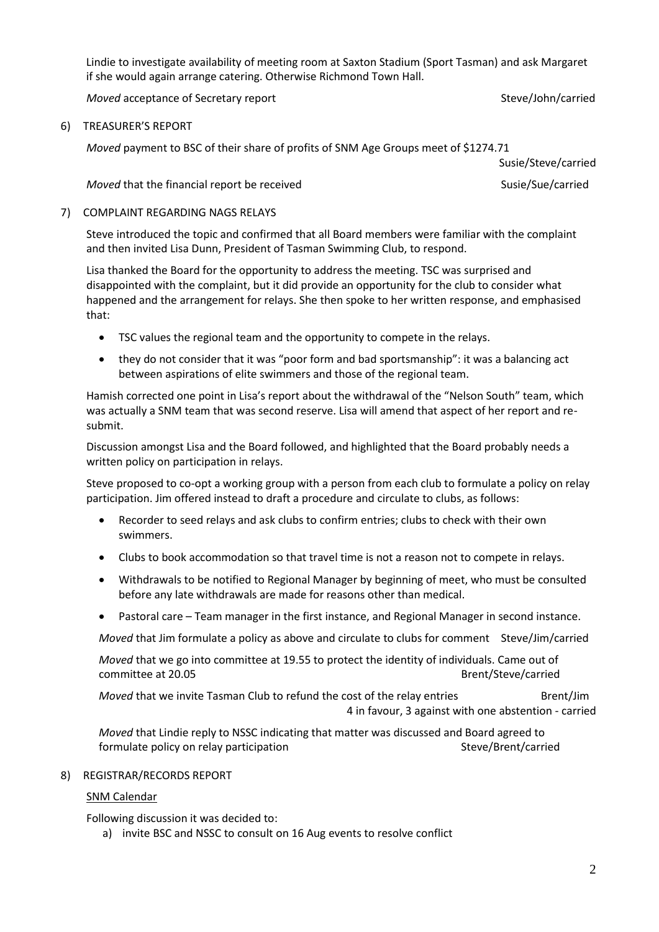Lindie to investigate availability of meeting room at Saxton Stadium (Sport Tasman) and ask Margaret if she would again arrange catering. Otherwise Richmond Town Hall.

*Moved* acceptance of Secretary report Steve and Steve/John/carried

### 6) TREASURER'S REPORT

*Moved* payment to BSC of their share of profits of SNM Age Groups meet of \$1274.71

Susie/Steve/carried

## *Moved* that the financial report be received Susie/Sue/carried Susie/Sue/carried

## 7) COMPLAINT REGARDING NAGS RELAYS

Steve introduced the topic and confirmed that all Board members were familiar with the complaint and then invited Lisa Dunn, President of Tasman Swimming Club, to respond.

Lisa thanked the Board for the opportunity to address the meeting. TSC was surprised and disappointed with the complaint, but it did provide an opportunity for the club to consider what happened and the arrangement for relays. She then spoke to her written response, and emphasised that:

- TSC values the regional team and the opportunity to compete in the relays.
- they do not consider that it was "poor form and bad sportsmanship": it was a balancing act between aspirations of elite swimmers and those of the regional team.

Hamish corrected one point in Lisa's report about the withdrawal of the "Nelson South" team, which was actually a SNM team that was second reserve. Lisa will amend that aspect of her report and resubmit.

Discussion amongst Lisa and the Board followed, and highlighted that the Board probably needs a written policy on participation in relays.

Steve proposed to co-opt a working group with a person from each club to formulate a policy on relay participation. Jim offered instead to draft a procedure and circulate to clubs, as follows:

- Recorder to seed relays and ask clubs to confirm entries; clubs to check with their own swimmers.
- Clubs to book accommodation so that travel time is not a reason not to compete in relays.
- Withdrawals to be notified to Regional Manager by beginning of meet, who must be consulted before any late withdrawals are made for reasons other than medical.
- Pastoral care Team manager in the first instance, and Regional Manager in second instance.

*Moved* that Jim formulate a policy as above and circulate to clubs for comment Steve/Jim/carried

*Moved* that we go into committee at 19.55 to protect the identity of individuals. Came out of committee at 20.05 Brent/Steve/carried

*Moved* that we invite Tasman Club to refund the cost of the relay entries Brent/Jim 4 in favour, 3 against with one abstention - carried

*Moved* that Lindie reply to NSSC indicating that matter was discussed and Board agreed to formulate policy on relay participation Steve/Brent/carried Steve/Brent/carried

#### 8) REGISTRAR/RECORDS REPORT

## SNM Calendar

Following discussion it was decided to:

a) invite BSC and NSSC to consult on 16 Aug events to resolve conflict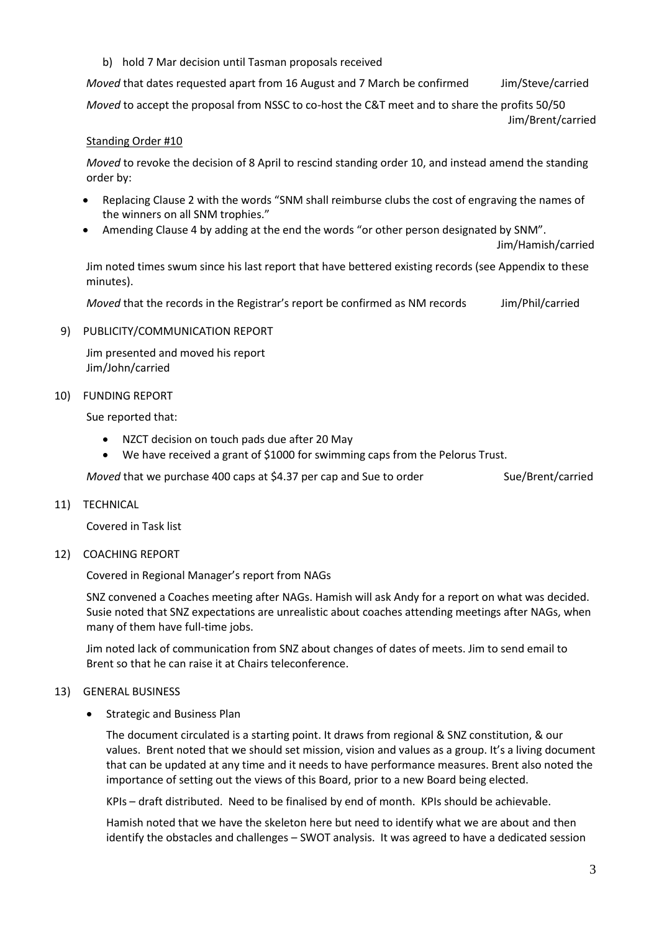b) hold 7 Mar decision until Tasman proposals received

*Moved* that dates requested apart from 16 August and 7 March be confirmed Jim/Steve/carried *Moved* to accept the proposal from NSSC to co-host the C&T meet and to share the profits 50/50 Jim/Brent/carried

## Standing Order #10

*Moved* to revoke the decision of 8 April to rescind standing order 10, and instead amend the standing order by:

- Replacing Clause 2 with the words "SNM shall reimburse clubs the cost of engraving the names of the winners on all SNM trophies."
- Amending Clause 4 by adding at the end the words "or other person designated by SNM".

Jim/Hamish/carried

Jim noted times swum since his last report that have bettered existing records (see Appendix to these minutes).

*Moved* that the records in the Registrar's report be confirmed as NM records Jim/Phil/carried

## 9) PUBLICITY/COMMUNICATION REPORT

Jim presented and moved his report Jim/John/carried

## 10) FUNDING REPORT

Sue reported that:

- NZCT decision on touch pads due after 20 May
- We have received a grant of \$1000 for swimming caps from the Pelorus Trust.

*Moved* that we purchase 400 caps at \$4.37 per cap and Sue to order Sue/Brent/carried

11) TECHNICAL

Covered in Task list

12) COACHING REPORT

Covered in Regional Manager's report from NAGs

SNZ convened a Coaches meeting after NAGs. Hamish will ask Andy for a report on what was decided. Susie noted that SNZ expectations are unrealistic about coaches attending meetings after NAGs, when many of them have full-time jobs.

Jim noted lack of communication from SNZ about changes of dates of meets. Jim to send email to Brent so that he can raise it at Chairs teleconference.

## 13) GENERAL BUSINESS

**•** Strategic and Business Plan

The document circulated is a starting point. It draws from regional & SNZ constitution, & our values. Brent noted that we should set mission, vision and values as a group. It's a living document that can be updated at any time and it needs to have performance measures. Brent also noted the importance of setting out the views of this Board, prior to a new Board being elected.

KPIs – draft distributed. Need to be finalised by end of month. KPIs should be achievable.

Hamish noted that we have the skeleton here but need to identify what we are about and then identify the obstacles and challenges – SWOT analysis. It was agreed to have a dedicated session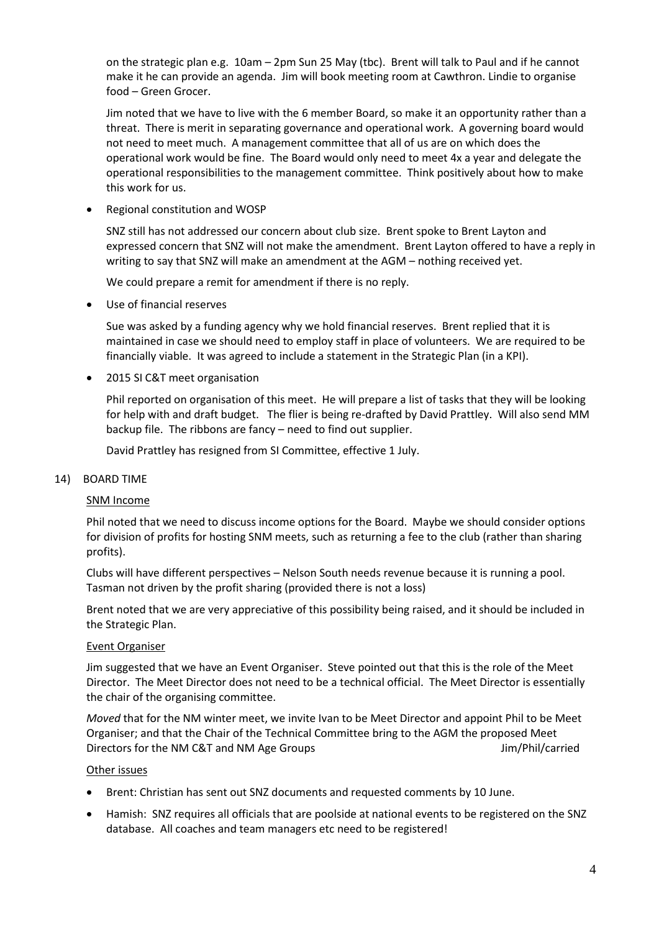on the strategic plan e.g. 10am – 2pm Sun 25 May (tbc). Brent will talk to Paul and if he cannot make it he can provide an agenda. Jim will book meeting room at Cawthron. Lindie to organise food – Green Grocer.

Jim noted that we have to live with the 6 member Board, so make it an opportunity rather than a threat. There is merit in separating governance and operational work. A governing board would not need to meet much. A management committee that all of us are on which does the operational work would be fine. The Board would only need to meet 4x a year and delegate the operational responsibilities to the management committee. Think positively about how to make this work for us.

Regional constitution and WOSP

SNZ still has not addressed our concern about club size. Brent spoke to Brent Layton and expressed concern that SNZ will not make the amendment. Brent Layton offered to have a reply in writing to say that SNZ will make an amendment at the AGM – nothing received yet.

We could prepare a remit for amendment if there is no reply.

Use of financial reserves

Sue was asked by a funding agency why we hold financial reserves. Brent replied that it is maintained in case we should need to employ staff in place of volunteers. We are required to be financially viable. It was agreed to include a statement in the Strategic Plan (in a KPI).

2015 SI C&T meet organisation

Phil reported on organisation of this meet. He will prepare a list of tasks that they will be looking for help with and draft budget. The flier is being re-drafted by David Prattley. Will also send MM backup file. The ribbons are fancy – need to find out supplier.

David Prattley has resigned from SI Committee, effective 1 July.

#### 14) BOARD TIME

#### SNM Income

Phil noted that we need to discuss income options for the Board. Maybe we should consider options for division of profits for hosting SNM meets, such as returning a fee to the club (rather than sharing profits).

Clubs will have different perspectives – Nelson South needs revenue because it is running a pool. Tasman not driven by the profit sharing (provided there is not a loss)

Brent noted that we are very appreciative of this possibility being raised, and it should be included in the Strategic Plan.

#### Event Organiser

Jim suggested that we have an Event Organiser. Steve pointed out that this is the role of the Meet Director. The Meet Director does not need to be a technical official. The Meet Director is essentially the chair of the organising committee.

*Moved* that for the NM winter meet, we invite Ivan to be Meet Director and appoint Phil to be Meet Organiser; and that the Chair of the Technical Committee bring to the AGM the proposed Meet Directors for the NM C&T and NM Age Groups Jum According the Minister of the NM C&T and NM Age Groups Jum According the Minister of the Minister of the NM Age Groups Jum According to the Minister of the NM Age Groups Jum A

#### Other issues

- Brent: Christian has sent out SNZ documents and requested comments by 10 June.
- Hamish: SNZ requires all officials that are poolside at national events to be registered on the SNZ database. All coaches and team managers etc need to be registered!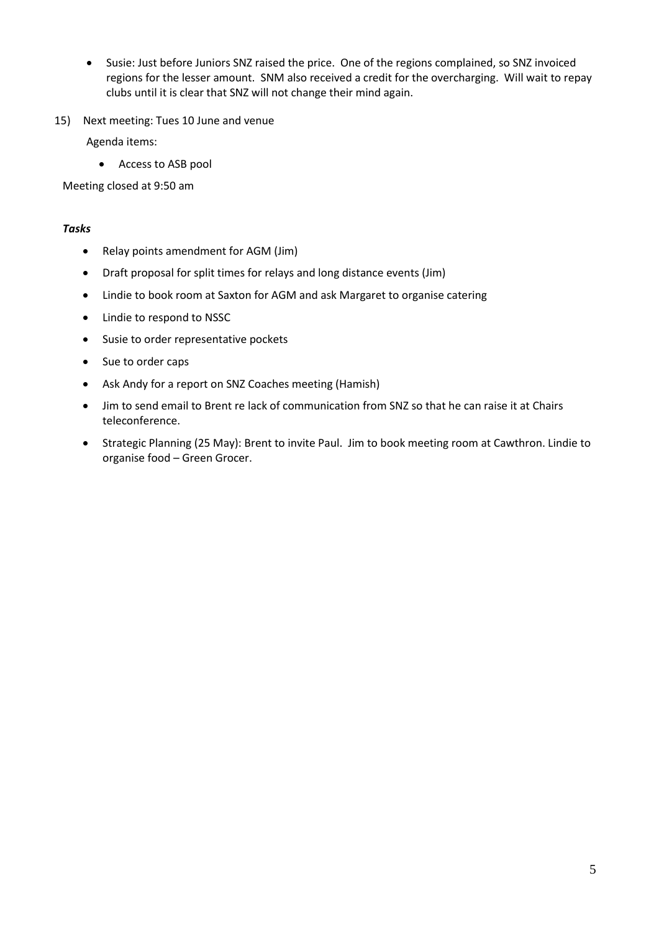- Susie: Just before Juniors SNZ raised the price. One of the regions complained, so SNZ invoiced regions for the lesser amount. SNM also received a credit for the overcharging. Will wait to repay clubs until it is clear that SNZ will not change their mind again.
- 15) Next meeting: Tues 10 June and venue

Agenda items:

Access to ASB pool

Meeting closed at 9:50 am

#### *Tasks*

- Relay points amendment for AGM (Jim)
- Draft proposal for split times for relays and long distance events (Jim)
- Lindie to book room at Saxton for AGM and ask Margaret to organise catering
- Lindie to respond to NSSC
- Susie to order representative pockets
- Sue to order caps
- Ask Andy for a report on SNZ Coaches meeting (Hamish)
- Jim to send email to Brent re lack of communication from SNZ so that he can raise it at Chairs teleconference.
- Strategic Planning (25 May): Brent to invite Paul. Jim to book meeting room at Cawthron. Lindie to organise food – Green Grocer.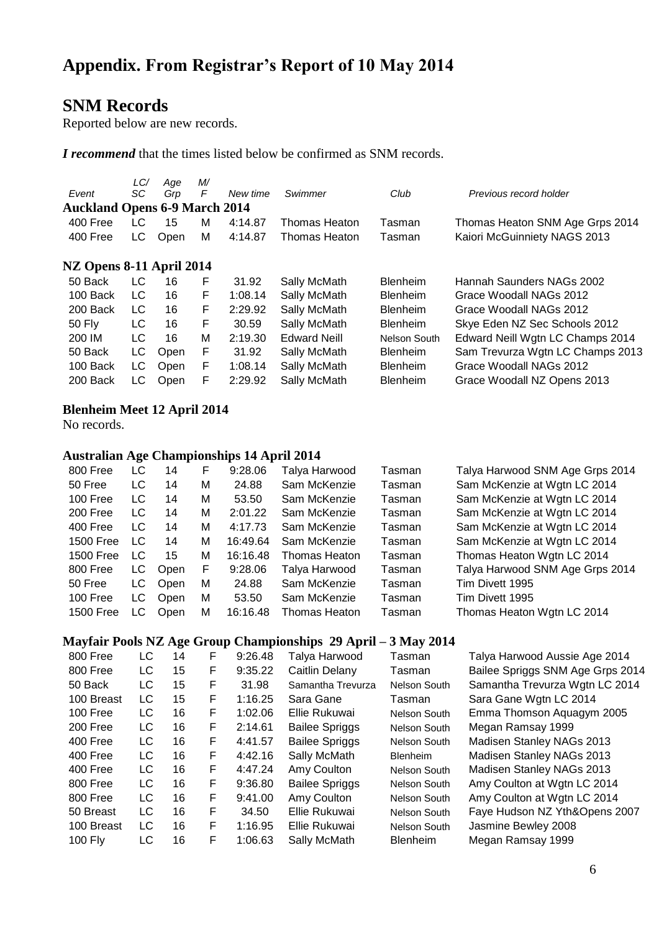# **SNM Records**

Reported below are new records.

*I recommend* that the times listed below be confirmed as SNM records.

| Event<br><b>Auckland Opens 6-9 March 2014</b> | LC/<br>SC | Age<br>Grp | M<br>F | New time | Swimmer             | Club            | Previous record holder           |  |  |  |
|-----------------------------------------------|-----------|------------|--------|----------|---------------------|-----------------|----------------------------------|--|--|--|
| 400 Free                                      | LC        | 15         | М      | 4:14.87  | Thomas Heaton       | Tasman          | Thomas Heaton SNM Age Grps 2014  |  |  |  |
| 400 Free                                      | LC.       | Open       | м      | 4:14.87  | Thomas Heaton       | Tasman          | Kaiori McGuinniety NAGS 2013     |  |  |  |
| NZ Opens 8-11 April 2014                      |           |            |        |          |                     |                 |                                  |  |  |  |
| 50 Back                                       | LC        | 16         | F      | 31.92    | Sally McMath        | <b>Blenheim</b> | Hannah Saunders NAGs 2002        |  |  |  |
| 100 Back                                      | LC.       | 16         | F      | 1:08.14  | Sally McMath        | <b>Blenheim</b> | Grace Woodall NAGs 2012          |  |  |  |
| 200 Back                                      | LC.       | 16         | F      | 2:29.92  | Sally McMath        | <b>Blenheim</b> | Grace Woodall NAGs 2012          |  |  |  |
| <b>50 Fly</b>                                 | LC        | 16         | F      | 30.59    | Sally McMath        | <b>Blenheim</b> | Skye Eden NZ Sec Schools 2012    |  |  |  |
| 200 IM                                        | LC        | 16         | M      | 2:19.30  | <b>Edward Neill</b> | Nelson South    | Edward Neill Wgtn LC Champs 2014 |  |  |  |
| 50 Back                                       | LC        | Open       | F      | 31.92    | Sally McMath        | <b>Blenheim</b> | Sam Trevurza Wgtn LC Champs 2013 |  |  |  |
| 100 Back                                      | LC.       | Open       | F      | 1:08.14  | Sally McMath        | <b>Blenheim</b> | Grace Woodall NAGs 2012          |  |  |  |
| 200 Back                                      | LC        | Open       | F      | 2:29.92  | Sally McMath        | <b>Blenheim</b> | Grace Woodall NZ Opens 2013      |  |  |  |

## **Blenheim Meet 12 April 2014**

No records.

## **Australian Age Championships 14 April 2014**

| 800 Free         | LC  | 14          | F | 9:28.06  | Talya Harwood | Tasman | Talya Harwood SNM Age Grps 2014 |
|------------------|-----|-------------|---|----------|---------------|--------|---------------------------------|
| 50 Free          | LC  | 14          | M | 24.88    | Sam McKenzie  | Tasman | Sam McKenzie at Wgtn LC 2014    |
| 100 Free         | LC  | 14          | M | 53.50    | Sam McKenzie  | Tasman | Sam McKenzie at Wgtn LC 2014    |
| 200 Free         | LC  | 14          | M | 2:01.22  | Sam McKenzie  | Tasman | Sam McKenzie at Wgtn LC 2014    |
| 400 Free         | LC  | 14          | M | 4:17.73  | Sam McKenzie  | Tasman | Sam McKenzie at Wgtn LC 2014    |
| 1500 Free        | LC  | 14          | M | 16:49.64 | Sam McKenzie  | Tasman | Sam McKenzie at Wgtn LC 2014    |
| <b>1500 Free</b> | LC  | 15          | М | 16:16.48 | Thomas Heaton | Tasman | Thomas Heaton Wgtn LC 2014      |
| 800 Free         | LC. | Open        | F | 9:28.06  | Talya Harwood | Tasman | Talya Harwood SNM Age Grps 2014 |
| 50 Free          | LC  | <b>Open</b> | м | 24.88    | Sam McKenzie  | Tasman | Tim Divett 1995                 |
| 100 Free         | LC. | Open        | M | 53.50    | Sam McKenzie  | Tasman | Tim Divett 1995                 |
| 1500 Free        | LC. | Open        | M | 16:16.48 | Thomas Heaton | Tasman | Thomas Heaton Wgtn LC 2014      |
|                  |     |             |   |          |               |        |                                 |

## **Mayfair Pools NZ Age Group Championships 29 April – 3 May 2014**

|                |    | o  |   |         |                       |                 |                                  |
|----------------|----|----|---|---------|-----------------------|-----------------|----------------------------------|
| 800 Free       | LC | 14 | F | 9:26.48 | Talya Harwood         | Tasman          | Talya Harwood Aussie Age 2014    |
| 800 Free       | LC | 15 | F | 9:35.22 | Caitlin Delany        | Tasman          | Bailee Spriggs SNM Age Grps 2014 |
| 50 Back        | LC | 15 | F | 31.98   | Samantha Trevurza     | Nelson South    | Samantha Trevurza Wgtn LC 2014   |
| 100 Breast     | LC | 15 | F | 1:16.25 | Sara Gane             | Tasman          | Sara Gane Wgtn LC 2014           |
| 100 Free       | LC | 16 | F | 1:02.06 | Ellie Rukuwai         | Nelson South    | Emma Thomson Aquagym 2005        |
| 200 Free       | LC | 16 | F | 2:14.61 | <b>Bailee Spriggs</b> | Nelson South    | Megan Ramsay 1999                |
| 400 Free       | LC | 16 | F | 4:41.57 | <b>Bailee Spriggs</b> | Nelson South    | Madisen Stanley NAGs 2013        |
| 400 Free       | LC | 16 | F | 4:42.16 | Sally McMath          | <b>Blenheim</b> | Madisen Stanley NAGs 2013        |
| 400 Free       | LC | 16 | F | 4:47.24 | Amy Coulton           | Nelson South    | Madisen Stanley NAGs 2013        |
| 800 Free       | LC | 16 | F | 9:36.80 | <b>Bailee Spriggs</b> | Nelson South    | Amy Coulton at Wgtn LC 2014      |
| 800 Free       | LC | 16 | F | 9:41.00 | Amy Coulton           | Nelson South    | Amy Coulton at Wgtn LC 2014      |
| 50 Breast      | LC | 16 | F | 34.50   | Ellie Rukuwai         | Nelson South    | Faye Hudson NZ Yth&Opens 2007    |
| 100 Breast     | LC | 16 | F | 1:16.95 | Ellie Rukuwai         | Nelson South    | Jasmine Bewley 2008              |
| <b>100 Fly</b> | LC | 16 | F | 1:06.63 | Sally McMath          | <b>Blenheim</b> | Megan Ramsay 1999                |